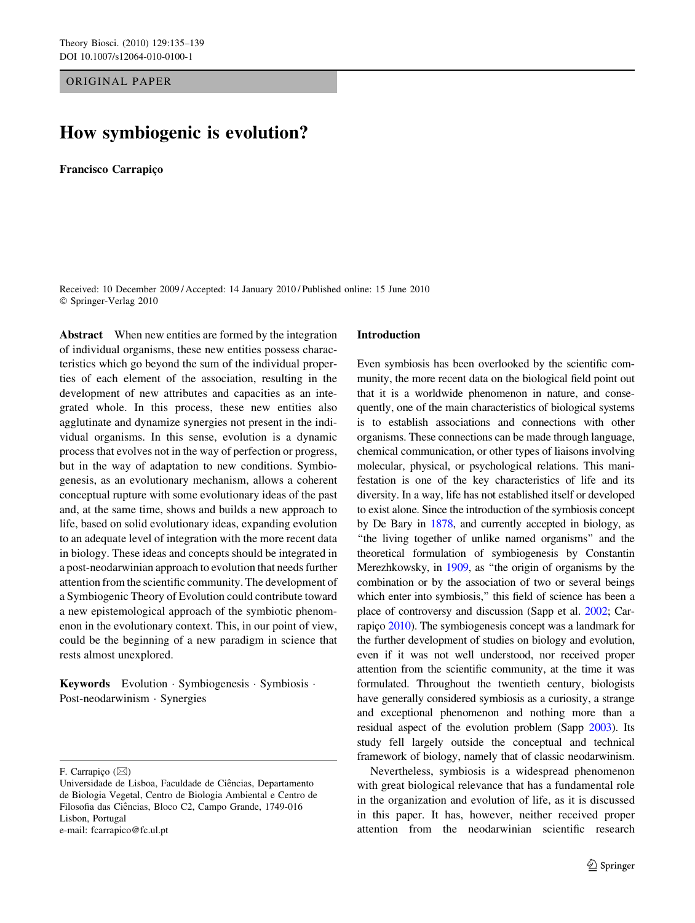ORIGINAL PAPER

# How symbiogenic is evolution?

Francisco Carrapic¸o

Received: 10 December 2009 / Accepted: 14 January 2010 / Published online: 15 June 2010 © Springer-Verlag 2010

Abstract When new entities are formed by the integration of individual organisms, these new entities possess characteristics which go beyond the sum of the individual properties of each element of the association, resulting in the development of new attributes and capacities as an integrated whole. In this process, these new entities also agglutinate and dynamize synergies not present in the individual organisms. In this sense, evolution is a dynamic process that evolves not in the way of perfection or progress, but in the way of adaptation to new conditions. Symbiogenesis, as an evolutionary mechanism, allows a coherent conceptual rupture with some evolutionary ideas of the past and, at the same time, shows and builds a new approach to life, based on solid evolutionary ideas, expanding evolution to an adequate level of integration with the more recent data in biology. These ideas and concepts should be integrated in a post-neodarwinian approach to evolution that needs further attention from the scientific community. The development of a Symbiogenic Theory of Evolution could contribute toward a new epistemological approach of the symbiotic phenomenon in the evolutionary context. This, in our point of view, could be the beginning of a new paradigm in science that rests almost unexplored.

Keywords Evolution - Symbiogenesis - Symbiosis - Post-neodarwinism - Synergies

F. Carrapiço (⊠)

#### Introduction

Even symbiosis has been overlooked by the scientific community, the more recent data on the biological field point out that it is a worldwide phenomenon in nature, and consequently, one of the main characteristics of biological systems is to establish associations and connections with other organisms. These connections can be made through language, chemical communication, or other types of liaisons involving molecular, physical, or psychological relations. This manifestation is one of the key characteristics of life and its diversity. In a way, life has not established itself or developed to exist alone. Since the introduction of the symbiosis concept by De Bary in [1878](#page-4-0), and currently accepted in biology, as ''the living together of unlike named organisms'' and the theoretical formulation of symbiogenesis by Constantin Merezhkowsky, in [1909,](#page-4-0) as "the origin of organisms by the combination or by the association of two or several beings which enter into symbiosis," this field of science has been a place of controversy and discussion (Sapp et al. [2002;](#page-4-0) Car-rapico [2010](#page-4-0)). The symbiogenesis concept was a landmark for the further development of studies on biology and evolution, even if it was not well understood, nor received proper attention from the scientific community, at the time it was formulated. Throughout the twentieth century, biologists have generally considered symbiosis as a curiosity, a strange and exceptional phenomenon and nothing more than a residual aspect of the evolution problem (Sapp [2003](#page-4-0)). Its study fell largely outside the conceptual and technical framework of biology, namely that of classic neodarwinism.

Nevertheless, symbiosis is a widespread phenomenon with great biological relevance that has a fundamental role in the organization and evolution of life, as it is discussed in this paper. It has, however, neither received proper attention from the neodarwinian scientific research

Universidade de Lisboa, Faculdade de Ciências, Departamento de Biologia Vegetal, Centro de Biologia Ambiental e Centro de Filosofia das Ciências, Bloco C2, Campo Grande, 1749-016 Lisbon, Portugal e-mail: fcarrapico@fc.ul.pt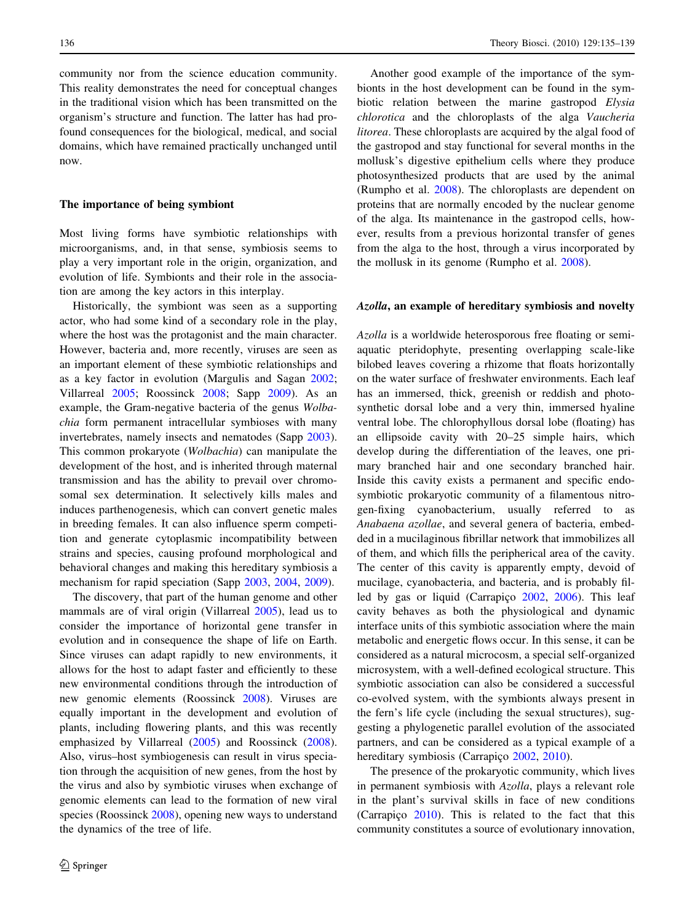community nor from the science education community. This reality demonstrates the need for conceptual changes in the traditional vision which has been transmitted on the organism's structure and function. The latter has had profound consequences for the biological, medical, and social domains, which have remained practically unchanged until now.

#### The importance of being symbiont

Most living forms have symbiotic relationships with microorganisms, and, in that sense, symbiosis seems to play a very important role in the origin, organization, and evolution of life. Symbionts and their role in the association are among the key actors in this interplay.

Historically, the symbiont was seen as a supporting actor, who had some kind of a secondary role in the play, where the host was the protagonist and the main character. However, bacteria and, more recently, viruses are seen as an important element of these symbiotic relationships and as a key factor in evolution (Margulis and Sagan [2002](#page-4-0); Villarreal [2005](#page-4-0); Roossinck [2008;](#page-4-0) Sapp [2009\)](#page-4-0). As an example, the Gram-negative bacteria of the genus Wolbachia form permanent intracellular symbioses with many invertebrates, namely insects and nematodes (Sapp [2003](#page-4-0)). This common prokaryote (Wolbachia) can manipulate the development of the host, and is inherited through maternal transmission and has the ability to prevail over chromosomal sex determination. It selectively kills males and induces parthenogenesis, which can convert genetic males in breeding females. It can also influence sperm competition and generate cytoplasmic incompatibility between strains and species, causing profound morphological and behavioral changes and making this hereditary symbiosis a mechanism for rapid speciation (Sapp [2003](#page-4-0), [2004](#page-4-0), [2009\)](#page-4-0).

The discovery, that part of the human genome and other mammals are of viral origin (Villarreal [2005](#page-4-0)), lead us to consider the importance of horizontal gene transfer in evolution and in consequence the shape of life on Earth. Since viruses can adapt rapidly to new environments, it allows for the host to adapt faster and efficiently to these new environmental conditions through the introduction of new genomic elements (Roossinck [2008\)](#page-4-0). Viruses are equally important in the development and evolution of plants, including flowering plants, and this was recently emphasized by Villarreal [\(2005](#page-4-0)) and Roossinck [\(2008](#page-4-0)). Also, virus–host symbiogenesis can result in virus speciation through the acquisition of new genes, from the host by the virus and also by symbiotic viruses when exchange of genomic elements can lead to the formation of new viral species (Roossinck [2008\)](#page-4-0), opening new ways to understand the dynamics of the tree of life.

Another good example of the importance of the symbionts in the host development can be found in the symbiotic relation between the marine gastropod Elysia chlorotica and the chloroplasts of the alga Vaucheria litorea. These chloroplasts are acquired by the algal food of the gastropod and stay functional for several months in the mollusk's digestive epithelium cells where they produce photosynthesized products that are used by the animal (Rumpho et al. [2008](#page-4-0)). The chloroplasts are dependent on proteins that are normally encoded by the nuclear genome of the alga. Its maintenance in the gastropod cells, however, results from a previous horizontal transfer of genes from the alga to the host, through a virus incorporated by the mollusk in its genome (Rumpho et al. [2008\)](#page-4-0).

#### Azolla, an example of hereditary symbiosis and novelty

Azolla is a worldwide heterosporous free floating or semiaquatic pteridophyte, presenting overlapping scale-like bilobed leaves covering a rhizome that floats horizontally on the water surface of freshwater environments. Each leaf has an immersed, thick, greenish or reddish and photosynthetic dorsal lobe and a very thin, immersed hyaline ventral lobe. The chlorophyllous dorsal lobe (floating) has an ellipsoide cavity with 20–25 simple hairs, which develop during the differentiation of the leaves, one primary branched hair and one secondary branched hair. Inside this cavity exists a permanent and specific endosymbiotic prokaryotic community of a filamentous nitrogen-fixing cyanobacterium, usually referred to as Anabaena azollae, and several genera of bacteria, embedded in a mucilaginous fibrillar network that immobilizes all of them, and which fills the peripherical area of the cavity. The center of this cavity is apparently empty, devoid of mucilage, cyanobacteria, and bacteria, and is probably fil-led by gas or liquid (Carrapiço [2002](#page-4-0), [2006](#page-4-0)). This leaf cavity behaves as both the physiological and dynamic interface units of this symbiotic association where the main metabolic and energetic flows occur. In this sense, it can be considered as a natural microcosm, a special self-organized microsystem, with a well-defined ecological structure. This symbiotic association can also be considered a successful co-evolved system, with the symbionts always present in the fern's life cycle (including the sexual structures), suggesting a phylogenetic parallel evolution of the associated partners, and can be considered as a typical example of a hereditary symbiosis (Carrapico [2002](#page-4-0), [2010](#page-4-0)).

The presence of the prokaryotic community, which lives in permanent symbiosis with Azolla, plays a relevant role in the plant's survival skills in face of new conditions (Carrapico  $2010$ ). This is related to the fact that this community constitutes a source of evolutionary innovation,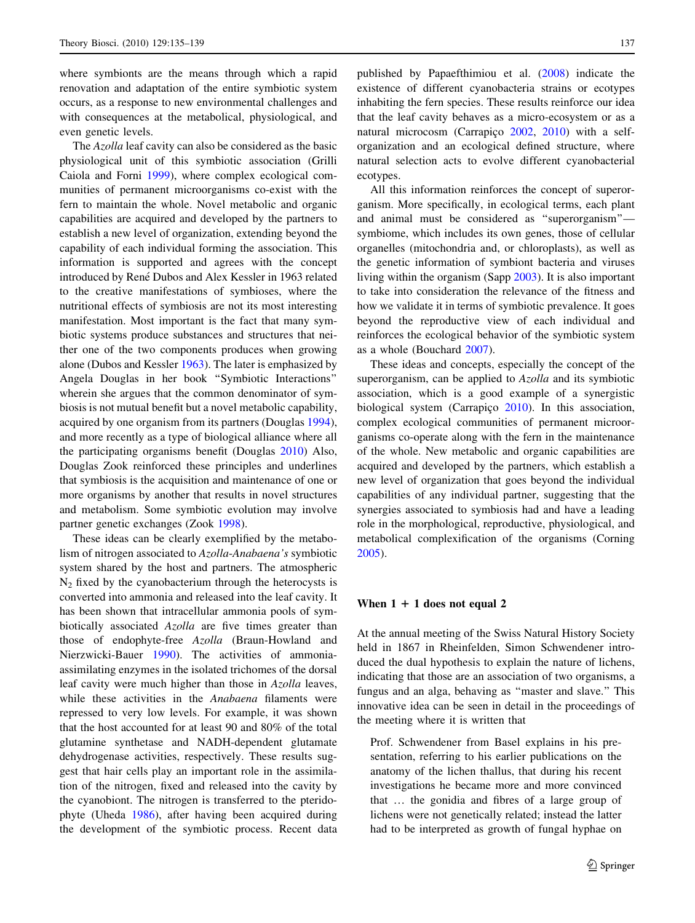where symbionts are the means through which a rapid renovation and adaptation of the entire symbiotic system occurs, as a response to new environmental challenges and with consequences at the metabolical, physiological, and even genetic levels.

The Azolla leaf cavity can also be considered as the basic physiological unit of this symbiotic association (Grilli Caiola and Forni [1999\)](#page-4-0), where complex ecological communities of permanent microorganisms co-exist with the fern to maintain the whole. Novel metabolic and organic capabilities are acquired and developed by the partners to establish a new level of organization, extending beyond the capability of each individual forming the association. This information is supported and agrees with the concept introduced by René Dubos and Alex Kessler in 1963 related to the creative manifestations of symbioses, where the nutritional effects of symbiosis are not its most interesting manifestation. Most important is the fact that many symbiotic systems produce substances and structures that neither one of the two components produces when growing alone (Dubos and Kessler [1963](#page-4-0)). The later is emphasized by Angela Douglas in her book ''Symbiotic Interactions'' wherein she argues that the common denominator of symbiosis is not mutual benefit but a novel metabolic capability, acquired by one organism from its partners (Douglas [1994](#page-4-0)), and more recently as a type of biological alliance where all the participating organisms benefit (Douglas [2010](#page-4-0)) Also, Douglas Zook reinforced these principles and underlines that symbiosis is the acquisition and maintenance of one or more organisms by another that results in novel structures and metabolism. Some symbiotic evolution may involve partner genetic exchanges (Zook [1998](#page-4-0)).

These ideas can be clearly exemplified by the metabolism of nitrogen associated to Azolla-Anabaena's symbiotic system shared by the host and partners. The atmospheric  $N_2$  fixed by the cyanobacterium through the heterocysts is converted into ammonia and released into the leaf cavity. It has been shown that intracellular ammonia pools of symbiotically associated Azolla are five times greater than those of endophyte-free Azolla (Braun-Howland and Nierzwicki-Bauer [1990\)](#page-4-0). The activities of ammoniaassimilating enzymes in the isolated trichomes of the dorsal leaf cavity were much higher than those in Azolla leaves, while these activities in the Anabaena filaments were repressed to very low levels. For example, it was shown that the host accounted for at least 90 and 80% of the total glutamine synthetase and NADH-dependent glutamate dehydrogenase activities, respectively. These results suggest that hair cells play an important role in the assimilation of the nitrogen, fixed and released into the cavity by the cyanobiont. The nitrogen is transferred to the pteridophyte (Uheda [1986\)](#page-4-0), after having been acquired during the development of the symbiotic process. Recent data published by Papaefthimiou et al. ([2008\)](#page-4-0) indicate the existence of different cyanobacteria strains or ecotypes inhabiting the fern species. These results reinforce our idea that the leaf cavity behaves as a micro-ecosystem or as a natural microcosm (Carrapico [2002](#page-4-0), [2010](#page-4-0)) with a selforganization and an ecological defined structure, where natural selection acts to evolve different cyanobacterial ecotypes.

All this information reinforces the concept of superorganism. More specifically, in ecological terms, each plant and animal must be considered as ''superorganism'' symbiome, which includes its own genes, those of cellular organelles (mitochondria and, or chloroplasts), as well as the genetic information of symbiont bacteria and viruses living within the organism (Sapp [2003](#page-4-0)). It is also important to take into consideration the relevance of the fitness and how we validate it in terms of symbiotic prevalence. It goes beyond the reproductive view of each individual and reinforces the ecological behavior of the symbiotic system as a whole (Bouchard [2007\)](#page-4-0).

These ideas and concepts, especially the concept of the superorganism, can be applied to Azolla and its symbiotic association, which is a good example of a synergistic biological system (Carrapico [2010\)](#page-4-0). In this association, complex ecological communities of permanent microorganisms co-operate along with the fern in the maintenance of the whole. New metabolic and organic capabilities are acquired and developed by the partners, which establish a new level of organization that goes beyond the individual capabilities of any individual partner, suggesting that the synergies associated to symbiosis had and have a leading role in the morphological, reproductive, physiological, and metabolical complexification of the organisms (Corning [2005](#page-4-0)).

## When  $1 + 1$  does not equal 2

At the annual meeting of the Swiss Natural History Society held in 1867 in Rheinfelden, Simon Schwendener introduced the dual hypothesis to explain the nature of lichens, indicating that those are an association of two organisms, a fungus and an alga, behaving as ''master and slave.'' This innovative idea can be seen in detail in the proceedings of the meeting where it is written that

Prof. Schwendener from Basel explains in his presentation, referring to his earlier publications on the anatomy of the lichen thallus, that during his recent investigations he became more and more convinced that … the gonidia and fibres of a large group of lichens were not genetically related; instead the latter had to be interpreted as growth of fungal hyphae on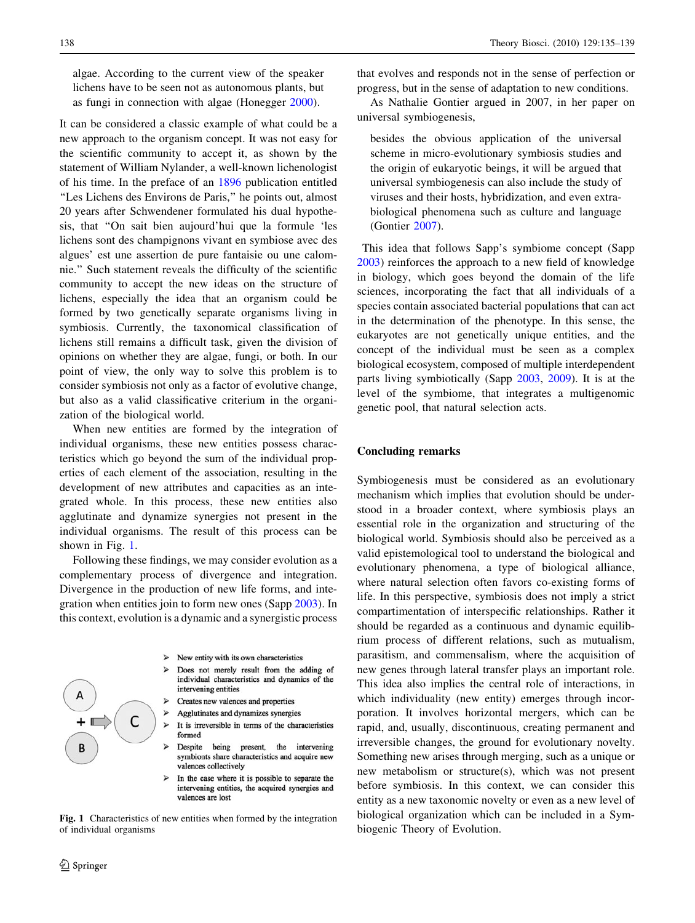algae. According to the current view of the speaker lichens have to be seen not as autonomous plants, but as fungi in connection with algae (Honegger [2000](#page-4-0)).

It can be considered a classic example of what could be a new approach to the organism concept. It was not easy for the scientific community to accept it, as shown by the statement of William Nylander, a well-known lichenologist of his time. In the preface of an [1896](#page-4-0) publication entitled ''Les Lichens des Environs de Paris,'' he points out, almost 20 years after Schwendener formulated his dual hypothesis, that ''On sait bien aujourd'hui que la formule 'les lichens sont des champignons vivant en symbiose avec des algues' est une assertion de pure fantaisie ou une calomnie.'' Such statement reveals the difficulty of the scientific community to accept the new ideas on the structure of lichens, especially the idea that an organism could be formed by two genetically separate organisms living in symbiosis. Currently, the taxonomical classification of lichens still remains a difficult task, given the division of opinions on whether they are algae, fungi, or both. In our point of view, the only way to solve this problem is to consider symbiosis not only as a factor of evolutive change, but also as a valid classificative criterium in the organization of the biological world.

When new entities are formed by the integration of individual organisms, these new entities possess characteristics which go beyond the sum of the individual properties of each element of the association, resulting in the development of new attributes and capacities as an integrated whole. In this process, these new entities also agglutinate and dynamize synergies not present in the individual organisms. The result of this process can be shown in Fig. 1.

Following these findings, we may consider evolution as a complementary process of divergence and integration. Divergence in the production of new life forms, and integration when entities join to form new ones (Sapp [2003\)](#page-4-0). In this context, evolution is a dynamic and a synergistic process



- $\triangleright$  New entity with its own characteristics
- Does not merely result from the adding of individual characteristics and dynamics of the intervening entities
- Creates new valences and properties
- Agglutinates and dynamizes synergies
- It is irreversible in terms of the characteristics formed
- Despite being present, the intervening symbionts share characteristics and acquire new valences collectively
- In the case where it is possible to separate the intervening entities, the acquired synergies and valences are lost

Fig. 1 Characteristics of new entities when formed by the integration of individual organisms

that evolves and responds not in the sense of perfection or progress, but in the sense of adaptation to new conditions.

As Nathalie Gontier argued in 2007, in her paper on universal symbiogenesis,

besides the obvious application of the universal scheme in micro-evolutionary symbiosis studies and the origin of eukaryotic beings, it will be argued that universal symbiogenesis can also include the study of viruses and their hosts, hybridization, and even extrabiological phenomena such as culture and language (Gontier [2007\)](#page-4-0).

This idea that follows Sapp's symbiome concept (Sapp [2003](#page-4-0)) reinforces the approach to a new field of knowledge in biology, which goes beyond the domain of the life sciences, incorporating the fact that all individuals of a species contain associated bacterial populations that can act in the determination of the phenotype. In this sense, the eukaryotes are not genetically unique entities, and the concept of the individual must be seen as a complex biological ecosystem, composed of multiple interdependent parts living symbiotically (Sapp [2003](#page-4-0), [2009\)](#page-4-0). It is at the level of the symbiome, that integrates a multigenomic genetic pool, that natural selection acts.

## Concluding remarks

Symbiogenesis must be considered as an evolutionary mechanism which implies that evolution should be understood in a broader context, where symbiosis plays an essential role in the organization and structuring of the biological world. Symbiosis should also be perceived as a valid epistemological tool to understand the biological and evolutionary phenomena, a type of biological alliance, where natural selection often favors co-existing forms of life. In this perspective, symbiosis does not imply a strict compartimentation of interspecific relationships. Rather it should be regarded as a continuous and dynamic equilibrium process of different relations, such as mutualism, parasitism, and commensalism, where the acquisition of new genes through lateral transfer plays an important role. This idea also implies the central role of interactions, in which individuality (new entity) emerges through incorporation. It involves horizontal mergers, which can be rapid, and, usually, discontinuous, creating permanent and irreversible changes, the ground for evolutionary novelty. Something new arises through merging, such as a unique or new metabolism or structure(s), which was not present before symbiosis. In this context, we can consider this entity as a new taxonomic novelty or even as a new level of biological organization which can be included in a Symbiogenic Theory of Evolution.